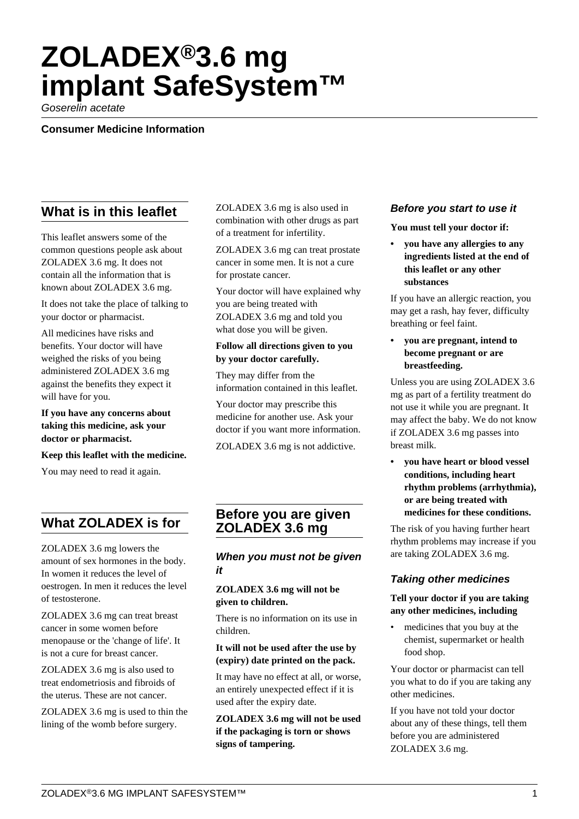# **ZOLADEX®3.6 mg implant SafeSystem™**

Goserelin acetate

**Consumer Medicine Information**

# **What is in this leaflet**

This leaflet answers some of the common questions people ask about ZOLADEX 3.6 mg. It does not contain all the information that is known about ZOLADEX 3.6 mg.

It does not take the place of talking to your doctor or pharmacist.

All medicines have risks and benefits. Your doctor will have weighed the risks of you being administered ZOLADEX 3.6 mg against the benefits they expect it will have for you.

**If you have any concerns about taking this medicine, ask your doctor or pharmacist.**

**Keep this leaflet with the medicine.**

You may need to read it again.

# **What ZOLADEX is for**

ZOLADEX 3.6 mg lowers the amount of sex hormones in the body. In women it reduces the level of oestrogen. In men it reduces the level of testosterone.

ZOLADEX 3.6 mg can treat breast cancer in some women before menopause or the 'change of life'. It is not a cure for breast cancer.

ZOLADEX 3.6 mg is also used to treat endometriosis and fibroids of the uterus. These are not cancer.

ZOLADEX 3.6 mg is used to thin the lining of the womb before surgery.

ZOLADEX 3.6 mg is also used in combination with other drugs as part of a treatment for infertility.

ZOLADEX 3.6 mg can treat prostate cancer in some men. It is not a cure for prostate cancer.

Your doctor will have explained why you are being treated with ZOLADEX 3.6 mg and told you what dose you will be given.

#### **Follow all directions given to you by your doctor carefully.**

They may differ from the information contained in this leaflet.

Your doctor may prescribe this medicine for another use. Ask your doctor if you want more information.

ZOLADEX 3.6 mg is not addictive.

## **Before you are given ZOLADEX 3.6 mg**

## **When you must not be given it**

#### **ZOLADEX 3.6 mg will not be given to children.**

There is no information on its use in children.

#### **It will not be used after the use by (expiry) date printed on the pack.**

It may have no effect at all, or worse, an entirely unexpected effect if it is used after the expiry date.

**ZOLADEX 3.6 mg will not be used if the packaging is torn or shows signs of tampering.**

#### **Before you start to use it**

**You must tell your doctor if:**

**• you have any allergies to any ingredients listed at the end of this leaflet or any other substances**

If you have an allergic reaction, you may get a rash, hay fever, difficulty breathing or feel faint.

**• you are pregnant, intend to become pregnant or are breastfeeding.**

Unless you are using ZOLADEX 3.6 mg as part of a fertility treatment do not use it while you are pregnant. It may affect the baby. We do not know if ZOLADEX 3.6 mg passes into breast milk.

**• you have heart or blood vessel conditions, including heart rhythm problems (arrhythmia), or are being treated with medicines for these conditions.**

The risk of you having further heart rhythm problems may increase if you are taking ZOLADEX 3.6 mg.

#### **Taking other medicines**

#### **Tell your doctor if you are taking any other medicines, including**

• medicines that you buy at the chemist, supermarket or health food shop.

Your doctor or pharmacist can tell you what to do if you are taking any other medicines.

If you have not told your doctor about any of these things, tell them before you are administered ZOLADEX 3.6 mg.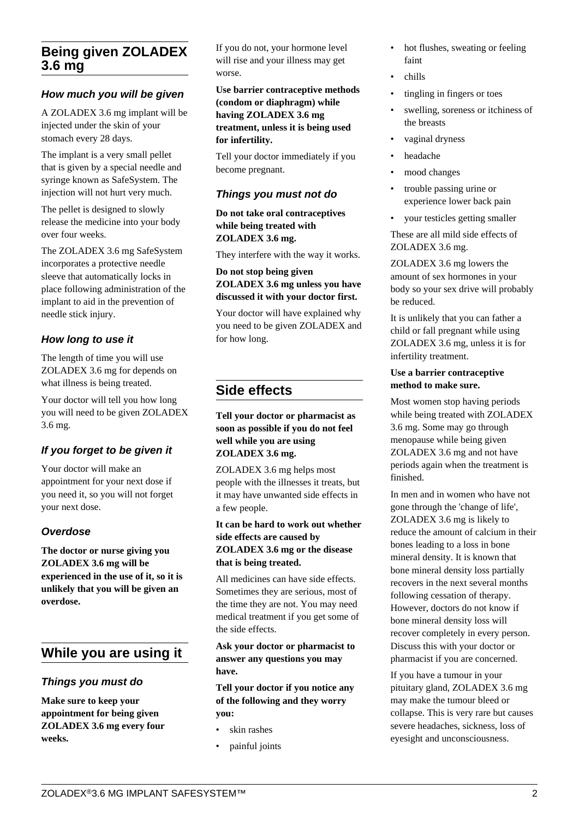## **Being given ZOLADEX 3.6 mg**

## **How much you will be given**

A ZOLADEX 3.6 mg implant will be injected under the skin of your stomach every 28 days.

The implant is a very small pellet that is given by a special needle and syringe known as SafeSystem. The injection will not hurt very much.

The pellet is designed to slowly release the medicine into your body over four weeks.

The ZOLADEX 3.6 mg SafeSystem incorporates a protective needle sleeve that automatically locks in place following administration of the implant to aid in the prevention of needle stick injury.

## **How long to use it**

The length of time you will use ZOLADEX 3.6 mg for depends on what illness is being treated.

Your doctor will tell you how long you will need to be given ZOLADEX 3.6 mg.

## **If you forget to be given it**

Your doctor will make an appointment for your next dose if you need it, so you will not forget your next dose.

## **Overdose**

**The doctor or nurse giving you ZOLADEX 3.6 mg will be experienced in the use of it, so it is unlikely that you will be given an overdose.**

# **While you are using it**

#### **Things you must do**

**Make sure to keep your appointment for being given ZOLADEX 3.6 mg every four weeks.**

If you do not, your hormone level will rise and your illness may get worse.

**Use barrier contraceptive methods (condom or diaphragm) while having ZOLADEX 3.6 mg treatment, unless it is being used for infertility.**

Tell your doctor immediately if you become pregnant.

## **Things you must not do**

**Do not take oral contraceptives while being treated with ZOLADEX 3.6 mg.**

They interfere with the way it works.

#### **Do not stop being given ZOLADEX 3.6 mg unless you have discussed it with your doctor first.**

Your doctor will have explained why you need to be given ZOLADEX and for how long.

# **Side effects**

**Tell your doctor or pharmacist as soon as possible if you do not feel well while you are using ZOLADEX 3.6 mg.**

ZOLADEX 3.6 mg helps most people with the illnesses it treats, but it may have unwanted side effects in a few people.

#### **It can be hard to work out whether side effects are caused by ZOLADEX 3.6 mg or the disease that is being treated.**

All medicines can have side effects. Sometimes they are serious, most of the time they are not. You may need medical treatment if you get some of the side effects.

**Ask your doctor or pharmacist to answer any questions you may have.**

**Tell your doctor if you notice any of the following and they worry you:**

- skin rashes
- painful joints
- hot flushes, sweating or feeling faint
- chills
- tingling in fingers or toes
- swelling, soreness or itchiness of the breasts
- vaginal dryness
- headache
- mood changes
- trouble passing urine or experience lower back pain
- your testicles getting smaller

These are all mild side effects of ZOLADEX 3.6 mg.

ZOLADEX 3.6 mg lowers the amount of sex hormones in your body so your sex drive will probably be reduced.

It is unlikely that you can father a child or fall pregnant while using ZOLADEX 3.6 mg, unless it is for infertility treatment.

#### **Use a barrier contraceptive method to make sure.**

Most women stop having periods while being treated with ZOLADEX 3.6 mg. Some may go through menopause while being given ZOLADEX 3.6 mg and not have periods again when the treatment is finished.

In men and in women who have not gone through the 'change of life', ZOLADEX 3.6 mg is likely to reduce the amount of calcium in their bones leading to a loss in bone mineral density. It is known that bone mineral density loss partially recovers in the next several months following cessation of therapy. However, doctors do not know if bone mineral density loss will recover completely in every person. Discuss this with your doctor or pharmacist if you are concerned.

If you have a tumour in your pituitary gland, ZOLADEX 3.6 mg may make the tumour bleed or collapse. This is very rare but causes severe headaches, sickness, loss of eyesight and unconsciousness.